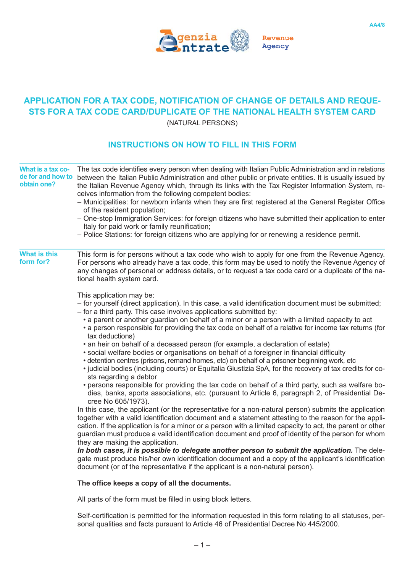

## **APPLICATION FOR A TAX CODE, NOTIFICATION OF CHANGE OF DETAILS AND REQUE-STS FOR A TAX CODE CARD/DUPLICATE OF THE NATIONAL HEALTH SYSTEM CARD** (NATURAL PERSONS)

## **INSTRUCTIONS ON HOW TO FILL IN THIS FORM**

| What is a tax co-<br>de for and how to<br>obtain one? | The tax code identifies every person when dealing with Italian Public Administration and in relations<br>between the Italian Public Administration and other public or private entities. It is usually issued by<br>the Italian Revenue Agency which, through its links with the Tax Register Information System, re-<br>ceives information from the following competent bodies:<br>- Municipalities: for newborn infants when they are first registered at the General Register Office<br>of the resident population;<br>- One-stop Immigration Services: for foreign citizens who have submitted their application to enter<br>Italy for paid work or family reunification;<br>- Police Stations: for foreign citizens who are applying for or renewing a residence permit.                                                                                                                                                                                                                                                                                                                                                                                                                                                                                                                                                                                                                                                                                                                                                                                                                                                                                                                                                                                                                                                                                                                            |
|-------------------------------------------------------|----------------------------------------------------------------------------------------------------------------------------------------------------------------------------------------------------------------------------------------------------------------------------------------------------------------------------------------------------------------------------------------------------------------------------------------------------------------------------------------------------------------------------------------------------------------------------------------------------------------------------------------------------------------------------------------------------------------------------------------------------------------------------------------------------------------------------------------------------------------------------------------------------------------------------------------------------------------------------------------------------------------------------------------------------------------------------------------------------------------------------------------------------------------------------------------------------------------------------------------------------------------------------------------------------------------------------------------------------------------------------------------------------------------------------------------------------------------------------------------------------------------------------------------------------------------------------------------------------------------------------------------------------------------------------------------------------------------------------------------------------------------------------------------------------------------------------------------------------------------------------------------------------------|
| <b>What is this</b><br>form for?                      | This form is for persons without a tax code who wish to apply for one from the Revenue Agency.<br>For persons who already have a tax code, this form may be used to notify the Revenue Agency of<br>any changes of personal or address details, or to request a tax code card or a duplicate of the na-<br>tional health system card.                                                                                                                                                                                                                                                                                                                                                                                                                                                                                                                                                                                                                                                                                                                                                                                                                                                                                                                                                                                                                                                                                                                                                                                                                                                                                                                                                                                                                                                                                                                                                                    |
|                                                       | This application may be:<br>- for yourself (direct application). In this case, a valid identification document must be submitted;<br>- for a third party. This case involves applications submitted by:<br>• a parent or another guardian on behalf of a minor or a person with a limited capacity to act<br>• a person responsible for providing the tax code on behalf of a relative for income tax returns (for<br>tax deductions)<br>• an heir on behalf of a deceased person (for example, a declaration of estate)<br>• social welfare bodies or organisations on behalf of a foreigner in financial difficulty<br>• detention centres (prisons, remand homes, etc) on behalf of a prisoner beginning work, etc<br>• judicial bodies (including courts) or Equitalia Giustizia SpA, for the recovery of tax credits for co-<br>sts regarding a debtor<br>• persons responsible for providing the tax code on behalf of a third party, such as welfare bo-<br>dies, banks, sports associations, etc. (pursuant to Article 6, paragraph 2, of Presidential De-<br>cree No 605/1973).<br>In this case, the applicant (or the representative for a non-natural person) submits the application<br>together with a valid identification document and a statement attesting to the reason for the appli-<br>cation. If the application is for a minor or a person with a limited capacity to act, the parent or other<br>guardian must produce a valid identification document and proof of identity of the person for whom<br>they are making the application.<br>In both cases, it is possible to delegate another person to submit the application. The dele-<br>gate must produce his/her own identification document and a copy of the applicant's identification<br>document (or of the representative if the applicant is a non-natural person).<br>The office keeps a copy of all the documents. |
|                                                       |                                                                                                                                                                                                                                                                                                                                                                                                                                                                                                                                                                                                                                                                                                                                                                                                                                                                                                                                                                                                                                                                                                                                                                                                                                                                                                                                                                                                                                                                                                                                                                                                                                                                                                                                                                                                                                                                                                          |
|                                                       | All parts of the form must be filled in using block letters.                                                                                                                                                                                                                                                                                                                                                                                                                                                                                                                                                                                                                                                                                                                                                                                                                                                                                                                                                                                                                                                                                                                                                                                                                                                                                                                                                                                                                                                                                                                                                                                                                                                                                                                                                                                                                                             |

Self-certification is permitted for the information requested in this form relating to all statuses, personal qualities and facts pursuant to Article 46 of Presidential Decree No 445/2000.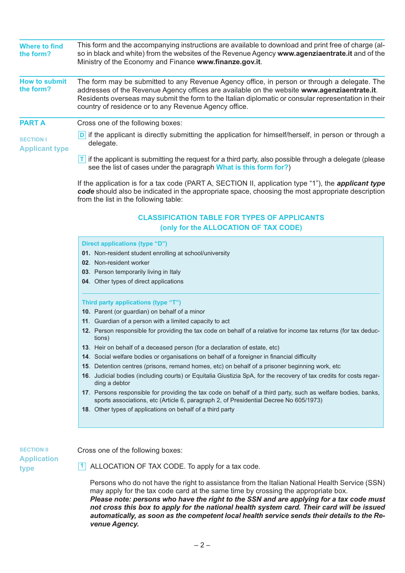| <b>Where to find</b><br>the form?         | This form and the accompanying instructions are available to download and print free of charge (al-<br>so in black and white) from the websites of the Revenue Agency www.agenziaentrate.it and of the<br>Ministry of the Economy and Finance www.finanze.gov.it.                                                                                                                                                                                                                                                                                                                                                                                                                                                                                                                                                                                                                    |
|-------------------------------------------|--------------------------------------------------------------------------------------------------------------------------------------------------------------------------------------------------------------------------------------------------------------------------------------------------------------------------------------------------------------------------------------------------------------------------------------------------------------------------------------------------------------------------------------------------------------------------------------------------------------------------------------------------------------------------------------------------------------------------------------------------------------------------------------------------------------------------------------------------------------------------------------|
| <b>How to submit</b><br>the form?         | The form may be submitted to any Revenue Agency office, in person or through a delegate. The<br>addresses of the Revenue Agency offices are available on the website www.agenziaentrate.it.<br>Residents overseas may submit the form to the Italian diplomatic or consular representation in their<br>country of residence or to any Revenue Agency office.                                                                                                                                                                                                                                                                                                                                                                                                                                                                                                                         |
| <b>PART A</b>                             | Cross one of the following boxes:                                                                                                                                                                                                                                                                                                                                                                                                                                                                                                                                                                                                                                                                                                                                                                                                                                                    |
| <b>SECTION I</b><br><b>Applicant type</b> | D if the applicant is directly submitting the application for himself/herself, in person or through a<br>delegate.                                                                                                                                                                                                                                                                                                                                                                                                                                                                                                                                                                                                                                                                                                                                                                   |
|                                           | $\mathsf{T}$ if the applicant is submitting the request for a third party, also possible through a delegate (please<br>see the list of cases under the paragraph What is this form for?)                                                                                                                                                                                                                                                                                                                                                                                                                                                                                                                                                                                                                                                                                             |
|                                           | If the application is for a tax code (PART A, SECTION II, application type "1"), the <i>applicant type</i><br>code should also be indicated in the appropriate space, choosing the most appropriate description<br>from the list in the following table:                                                                                                                                                                                                                                                                                                                                                                                                                                                                                                                                                                                                                             |
|                                           | <b>CLASSIFICATION TABLE FOR TYPES OF APPLICANTS</b><br>(only for the ALLOCATION OF TAX CODE)                                                                                                                                                                                                                                                                                                                                                                                                                                                                                                                                                                                                                                                                                                                                                                                         |
|                                           | <b>Direct applications (type "D")</b><br>01. Non-resident student enrolling at school/university<br>02. Non-resident worker<br>03. Person temporarily living in Italy<br>04. Other types of direct applications<br>Third party applications (type "T")<br>10. Parent (or guardian) on behalf of a minor                                                                                                                                                                                                                                                                                                                                                                                                                                                                                                                                                                              |
|                                           | 11. Guardian of a person with a limited capacity to act<br>12. Person responsible for providing the tax code on behalf of a relative for income tax returns (for tax deduc-<br>tions)<br>13. Heir on behalf of a deceased person (for a declaration of estate, etc)<br>14. Social welfare bodies or organisations on behalf of a foreigner in financial difficulty<br>15. Detention centres (prisons, remand homes, etc) on behalf of a prisoner beginning work, etc<br>16. Judicial bodies (including courts) or Equitalia Giustizia SpA, for the recovery of tax credits for costs regar-<br>ding a debtor<br>17. Persons responsible for providing the tax code on behalf of a third party, such as welfare bodies, banks,<br>sports associations, etc (Article 6, paragraph 2, of Presidential Decree No 605/1973)<br>18. Other types of applications on behalf of a third party |

**SECTION II Application type**

Cross one of the following boxes:

ALLOCATION OF TAX CODE. To apply for a tax code. **1**

Persons who do not have the right to assistance from the Italian National Health Service (SSN) may apply for the tax code card at the same time by crossing the appropriate box. *Please note: persons who have the right to the SSN and are applying for a tax code must not cross this box to apply for the national health system card. Their card will be issued automatically, as soon as the competent local health service sends their details to the Revenue Agency.*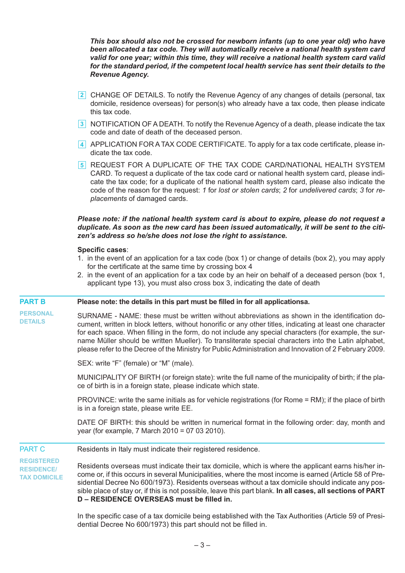*This box should also not be crossed for newborn infants (up to one year old) who have been allocated a tax code. They will automatically receive a national health system card valid for one year; within this time, they will receive a national health system card valid for the standard period, if the competent local health service has sent their details to the Revenue Agency.*

- CHANGE OF DETAILS. To notify the Revenue Agency of any changes of details (personal, tax **2** domicile, residence overseas) for person(s) who already have a tax code, then please indicate this tax code.
- NOTIFICATION OF A DEATH. To notify the Revenue Agency of a death, please indicate the tax **3** code and date of death of the deceased person.
- 4 APPLICATION FOR A TAX CODE CERTIFICATE. To apply for a tax code certificate, please indicate the tax code.
- 5 REQUEST FOR A DUPLICATE OF THE TAX CODE CARD/NATIONAL HEALTH SYSTEM CARD. To request a duplicate of the tax code card or national health system card, please indicate the tax code; for a duplicate of the national health system card, please also indicate the code of the reason for the request: *1* for *lost or stolen cards*; *2* for *undelivered cards*; *3* for *replacements* of damaged cards.

## *Please note: if the national health system card is about to expire, please do not request a duplicate. As soon as the new card has been issued automatically, it will be sent to the citizen's address so he/she does not lose the right to assistance.*

## **Specific cases**:

- 1. in the event of an application for a tax code (box 1) or change of details (box 2), you may apply for the certificate at the same time by crossing box 4
- 2. in the event of an application for a tax code by an heir on behalf of a deceased person (box 1, applicant type 13), you must also cross box 3, indicating the date of death

| <b>PART B</b>                                                 | Please note: the details in this part must be filled in for all applicationsa.                                                                                                                                                                                                                                                                                                                                                                                                                                                            |
|---------------------------------------------------------------|-------------------------------------------------------------------------------------------------------------------------------------------------------------------------------------------------------------------------------------------------------------------------------------------------------------------------------------------------------------------------------------------------------------------------------------------------------------------------------------------------------------------------------------------|
| <b>PERSONAL</b><br><b>DETAILS</b>                             | SURNAME - NAME: these must be written without abbreviations as shown in the identification do-<br>cument, written in block letters, without honorific or any other titles, indicating at least one character<br>for each space. When filling in the form, do not include any special characters (for example, the sur-<br>name Müller should be written Mueller). To transliterate special characters into the Latin alphabet,<br>please refer to the Decree of the Ministry for Public Administration and Innovation of 2 February 2009. |
|                                                               | SEX: write "F" (female) or "M" (male).                                                                                                                                                                                                                                                                                                                                                                                                                                                                                                    |
|                                                               | MUNICIPALITY OF BIRTH (or foreign state): write the full name of the municipality of birth; if the pla-<br>ce of birth is in a foreign state, please indicate which state.                                                                                                                                                                                                                                                                                                                                                                |
|                                                               | PROVINCE: write the same initials as for vehicle registrations (for Rome = RM); if the place of birth<br>is in a foreign state, please write EE.                                                                                                                                                                                                                                                                                                                                                                                          |
|                                                               | DATE OF BIRTH: this should be written in numerical format in the following order: day, month and<br>year (for example, 7 March 2010 = 07 03 2010).                                                                                                                                                                                                                                                                                                                                                                                        |
| <b>PART C</b>                                                 | Residents in Italy must indicate their registered residence.                                                                                                                                                                                                                                                                                                                                                                                                                                                                              |
| <b>REGISTERED</b><br><b>RESIDENCE/</b><br><b>TAX DOMICILE</b> | Residents overseas must indicate their tax domicile, which is where the applicant earns his/her in-<br>come or, if this occurs in several Municipalities, where the most income is earned (Article 58 of Pre-<br>sidential Decree No 600/1973). Residents overseas without a tax domicile should indicate any pos-<br>sible place of stay or, if this is not possible, leave this part blank. In all cases, all sections of PART<br>D - RESIDENCE OVERSEAS must be filled in.                                                             |

In the specific case of a tax domicile being established with the Tax Authorities (Article 59 of Presidential Decree No 600/1973) this part should not be filled in.